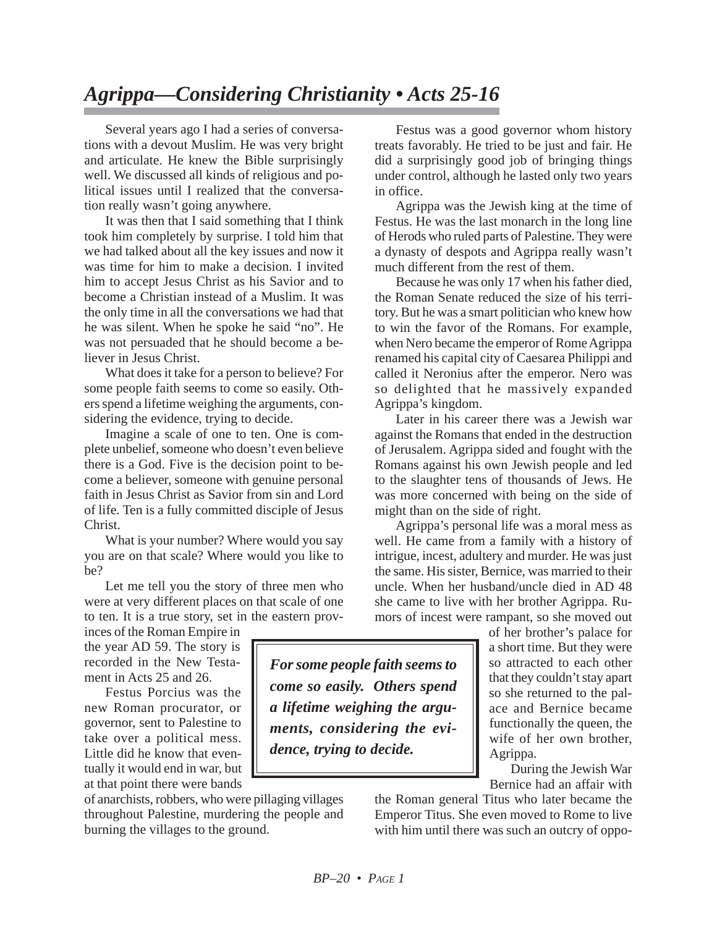## *Agrippa—Considering Christianity • Acts 25-16*

Several years ago I had a series of conversations with a devout Muslim. He was very bright and articulate. He knew the Bible surprisingly well. We discussed all kinds of religious and political issues until I realized that the conversation really wasn't going anywhere.

It was then that I said something that I think took him completely by surprise. I told him that we had talked about all the key issues and now it was time for him to make a decision. I invited him to accept Jesus Christ as his Savior and to become a Christian instead of a Muslim. It was the only time in all the conversations we had that he was silent. When he spoke he said "no". He was not persuaded that he should become a believer in Jesus Christ.

What does it take for a person to believe? For some people faith seems to come so easily. Others spend a lifetime weighing the arguments, considering the evidence, trying to decide.

Imagine a scale of one to ten. One is complete unbelief, someone who doesn't even believe there is a God. Five is the decision point to become a believer, someone with genuine personal faith in Jesus Christ as Savior from sin and Lord of life. Ten is a fully committed disciple of Jesus Christ.

What is your number? Where would you say you are on that scale? Where would you like to be?

Let me tell you the story of three men who were at very different places on that scale of one to ten. It is a true story, set in the eastern prov-

inces of the Roman Empire in the year AD 59. The story is recorded in the New Testament in Acts 25 and 26.

Festus Porcius was the new Roman procurator, or governor, sent to Palestine to take over a political mess. Little did he know that eventually it would end in war, but at that point there were bands

of anarchists, robbers, who were pillaging villages throughout Palestine, murdering the people and burning the villages to the ground.

Festus was a good governor whom history treats favorably. He tried to be just and fair. He did a surprisingly good job of bringing things under control, although he lasted only two years in office.

Agrippa was the Jewish king at the time of Festus. He was the last monarch in the long line of Herods who ruled parts of Palestine. They were a dynasty of despots and Agrippa really wasn't much different from the rest of them.

Because he was only 17 when his father died, the Roman Senate reduced the size of his territory. But he was a smart politician who knew how to win the favor of the Romans. For example, when Nero became the emperor of Rome Agrippa renamed his capital city of Caesarea Philippi and called it Neronius after the emperor. Nero was so delighted that he massively expanded Agrippa's kingdom.

Later in his career there was a Jewish war against the Romans that ended in the destruction of Jerusalem. Agrippa sided and fought with the Romans against his own Jewish people and led to the slaughter tens of thousands of Jews. He was more concerned with being on the side of might than on the side of right.

Agrippa's personal life was a moral mess as well. He came from a family with a history of intrigue, incest, adultery and murder. He was just the same. His sister, Bernice, was married to their uncle. When her husband/uncle died in AD 48 she came to live with her brother Agrippa. Rumors of incest were rampant, so she moved out

of her brother's palace for a short time. But they were so attracted to each other that they couldn't stay apart so she returned to the palace and Bernice became functionally the queen, the wife of her own brother, Agrippa.

During the Jewish War Bernice had an affair with

the Roman general Titus who later became the Emperor Titus. She even moved to Rome to live with him until there was such an outcry of oppo-

*For some people faith seems to come so easily. Others spend a lifetime weighing the arguments, considering the evidence, trying to decide.*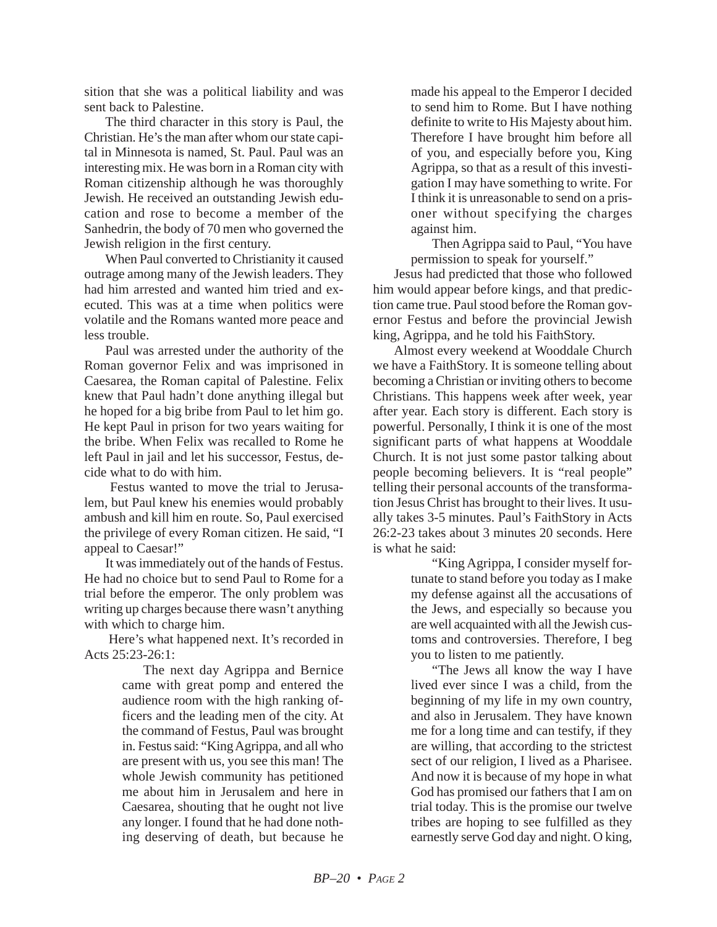sition that she was a political liability and was sent back to Palestine.

The third character in this story is Paul, the Christian. He's the man after whom our state capital in Minnesota is named, St. Paul. Paul was an interesting mix. He was born in a Roman city with Roman citizenship although he was thoroughly Jewish. He received an outstanding Jewish education and rose to become a member of the Sanhedrin, the body of 70 men who governed the Jewish religion in the first century.

When Paul converted to Christianity it caused outrage among many of the Jewish leaders. They had him arrested and wanted him tried and executed. This was at a time when politics were volatile and the Romans wanted more peace and less trouble.

Paul was arrested under the authority of the Roman governor Felix and was imprisoned in Caesarea, the Roman capital of Palestine. Felix knew that Paul hadn't done anything illegal but he hoped for a big bribe from Paul to let him go. He kept Paul in prison for two years waiting for the bribe. When Felix was recalled to Rome he left Paul in jail and let his successor, Festus, decide what to do with him.

Festus wanted to move the trial to Jerusalem, but Paul knew his enemies would probably ambush and kill him en route. So, Paul exercised the privilege of every Roman citizen. He said, "I appeal to Caesar!"

It was immediately out of the hands of Festus. He had no choice but to send Paul to Rome for a trial before the emperor. The only problem was writing up charges because there wasn't anything with which to charge him.

 Here's what happened next. It's recorded in Acts 25:23-26:1:

> The next day Agrippa and Bernice came with great pomp and entered the audience room with the high ranking officers and the leading men of the city. At the command of Festus, Paul was brought in. Festus said: "King Agrippa, and all who are present with us, you see this man! The whole Jewish community has petitioned me about him in Jerusalem and here in Caesarea, shouting that he ought not live any longer. I found that he had done nothing deserving of death, but because he

made his appeal to the Emperor I decided to send him to Rome. But I have nothing definite to write to His Majesty about him. Therefore I have brought him before all of you, and especially before you, King Agrippa, so that as a result of this investigation I may have something to write. For I think it is unreasonable to send on a prisoner without specifying the charges against him.

Then Agrippa said to Paul, "You have permission to speak for yourself."

Jesus had predicted that those who followed him would appear before kings, and that prediction came true. Paul stood before the Roman governor Festus and before the provincial Jewish king, Agrippa, and he told his FaithStory.

Almost every weekend at Wooddale Church we have a FaithStory. It is someone telling about becoming a Christian or inviting others to become Christians. This happens week after week, year after year. Each story is different. Each story is powerful. Personally, I think it is one of the most significant parts of what happens at Wooddale Church. It is not just some pastor talking about people becoming believers. It is "real people" telling their personal accounts of the transformation Jesus Christ has brought to their lives. It usually takes 3-5 minutes. Paul's FaithStory in Acts 26:2-23 takes about 3 minutes 20 seconds. Here is what he said:

> "King Agrippa, I consider myself fortunate to stand before you today as I make my defense against all the accusations of the Jews, and especially so because you are well acquainted with all the Jewish customs and controversies. Therefore, I beg you to listen to me patiently.

> "The Jews all know the way I have lived ever since I was a child, from the beginning of my life in my own country, and also in Jerusalem. They have known me for a long time and can testify, if they are willing, that according to the strictest sect of our religion, I lived as a Pharisee. And now it is because of my hope in what God has promised our fathers that I am on trial today. This is the promise our twelve tribes are hoping to see fulfilled as they earnestly serve God day and night. O king,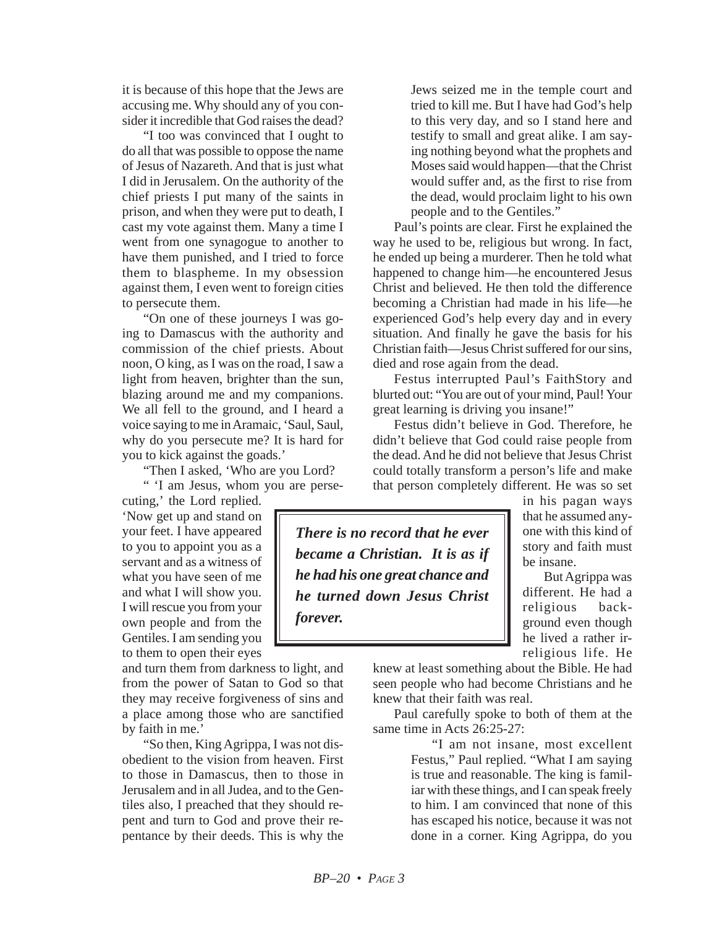it is because of this hope that the Jews are accusing me. Why should any of you consider it incredible that God raises the dead?

"I too was convinced that I ought to do all that was possible to oppose the name of Jesus of Nazareth. And that is just what I did in Jerusalem. On the authority of the chief priests I put many of the saints in prison, and when they were put to death, I cast my vote against them. Many a time I went from one synagogue to another to have them punished, and I tried to force them to blaspheme. In my obsession against them, I even went to foreign cities to persecute them.

"On one of these journeys I was going to Damascus with the authority and commission of the chief priests. About noon, O king, as I was on the road, I saw a light from heaven, brighter than the sun, blazing around me and my companions. We all fell to the ground, and I heard a voice saying to me in Aramaic, 'Saul, Saul, why do you persecute me? It is hard for you to kick against the goads.'

"Then I asked, 'Who are you Lord?

" 'I am Jesus, whom you are perse-

cuting,' the Lord replied. 'Now get up and stand on your feet. I have appeared to you to appoint you as a servant and as a witness of what you have seen of me and what I will show you. I will rescue you from your own people and from the Gentiles. I am sending you to them to open their eyes

and turn them from darkness to light, and from the power of Satan to God so that they may receive forgiveness of sins and a place among those who are sanctified by faith in me.'

"So then, King Agrippa, I was not disobedient to the vision from heaven. First to those in Damascus, then to those in Jerusalem and in all Judea, and to the Gentiles also, I preached that they should repent and turn to God and prove their repentance by their deeds. This is why the Jews seized me in the temple court and tried to kill me. But I have had God's help to this very day, and so I stand here and testify to small and great alike. I am saying nothing beyond what the prophets and Moses said would happen—that the Christ would suffer and, as the first to rise from the dead, would proclaim light to his own people and to the Gentiles."

Paul's points are clear. First he explained the way he used to be, religious but wrong. In fact, he ended up being a murderer. Then he told what happened to change him—he encountered Jesus Christ and believed. He then told the difference becoming a Christian had made in his life—he experienced God's help every day and in every situation. And finally he gave the basis for his Christian faith—Jesus Christ suffered for our sins, died and rose again from the dead.

Festus interrupted Paul's FaithStory and blurted out: "You are out of your mind, Paul! Your great learning is driving you insane!"

Festus didn't believe in God. Therefore, he didn't believe that God could raise people from the dead. And he did not believe that Jesus Christ could totally transform a person's life and make that person completely different. He was so set

*There is no record that he ever became a Christian. It is as if he had his one great chance and he turned down Jesus Christ forever.*

in his pagan ways that he assumed anyone with this kind of story and faith must be insane.

But Agrippa was different. He had a religious background even though he lived a rather irreligious life. He

knew at least something about the Bible. He had seen people who had become Christians and he knew that their faith was real.

Paul carefully spoke to both of them at the same time in Acts 26:25-27:

> "I am not insane, most excellent Festus," Paul replied. "What I am saying is true and reasonable. The king is familiar with these things, and I can speak freely to him. I am convinced that none of this has escaped his notice, because it was not done in a corner. King Agrippa, do you